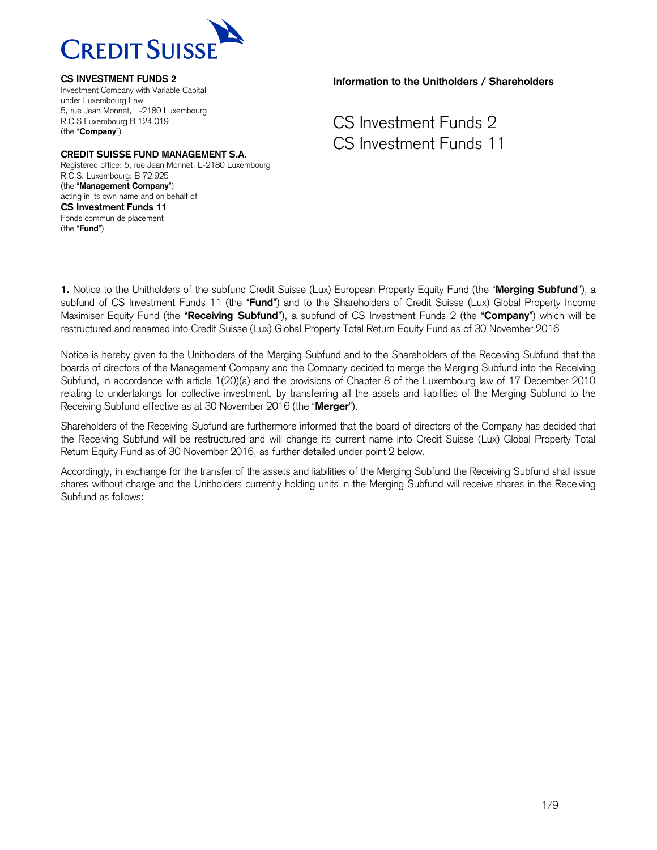

### **CREDIT SUISSE FUND MANAGEMENT S.A.**

Registered office: 5, rue Jean Monnet, L-2180 Luxembourg R.C.S. Luxembourg: B 72.925 (the "**Management Company**") acting in its own name and on behalf of **CS Investment Funds 11** Fonds commun de placement (the "**Fund**")

### **Information to the Unitholders / Shareholders**

CS Investment Funds 2 CS Investment Funds 11

**1.** Notice to the Unitholders of the subfund Credit Suisse (Lux) European Property Equity Fund (the "**Merging Subfund**"), a subfund of CS Investment Funds 11 (the "**Fund**") and to the Shareholders of Credit Suisse (Lux) Global Property Income Maximiser Equity Fund (the "**Receiving Subfund**"), a subfund of CS Investment Funds 2 (the "**Company**") which will be restructured and renamed into Credit Suisse (Lux) Global Property Total Return Equity Fund as of 30 November 2016

Notice is hereby given to the Unitholders of the Merging Subfund and to the Shareholders of the Receiving Subfund that the boards of directors of the Management Company and the Company decided to merge the Merging Subfund into the Receiving Subfund, in accordance with article 1(20)(a) and the provisions of Chapter 8 of the Luxembourg law of 17 December 2010 relating to undertakings for collective investment, by transferring all the assets and liabilities of the Merging Subfund to the Receiving Subfund effective as at 30 November 2016 (the "**Merger**").

Shareholders of the Receiving Subfund are furthermore informed that the board of directors of the Company has decided that the Receiving Subfund will be restructured and will change its current name into Credit Suisse (Lux) Global Property Total Return Equity Fund as of 30 November 2016, as further detailed under point 2 below.

Accordingly, in exchange for the transfer of the assets and liabilities of the Merging Subfund the Receiving Subfund shall issue shares without charge and the Unitholders currently holding units in the Merging Subfund will receive shares in the Receiving Subfund as follows: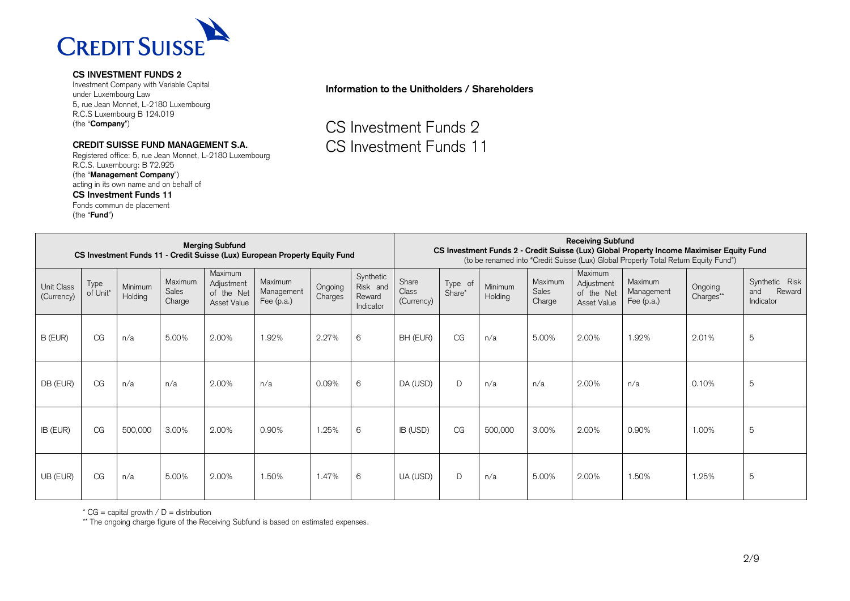

Investment Company with Variable Capital under Luxembourg Law 5, rue Jean Monnet, L-2180 Luxembourg R.C.S Luxembourg B 124.019 (the "**Company**")

### **CREDIT SUISSE FUND MANAGEMENT S.A.**

Registered office: 5, rue Jean Monnet, L-2180 Luxembourg R.C.S. Luxembourg: B 72.925 (the "**Management Company**") acting in its own name and on behalf of **CS Investment Funds 11** Fonds commun de placement (the "**Fund**")

# **Information to the Unitholders / Shareholders**

CS Investment Funds 2 CS Investment Funds 11

| <b>Merging Subfund</b><br>CS Investment Funds 11 - Credit Suisse (Lux) European Property Equity Fund |                  |                    |                            |                                                    |                                       | <b>Receiving Subfund</b><br>CS Investment Funds 2 - Credit Suisse (Lux) Global Property Income Maximiser Equity Fund<br>(to be renamed into "Credit Suisse (Lux) Global Property Total Return Equity Fund") |                                              |                              |                   |                    |                            |                                                    |                                       |                      |                                              |
|------------------------------------------------------------------------------------------------------|------------------|--------------------|----------------------------|----------------------------------------------------|---------------------------------------|-------------------------------------------------------------------------------------------------------------------------------------------------------------------------------------------------------------|----------------------------------------------|------------------------------|-------------------|--------------------|----------------------------|----------------------------------------------------|---------------------------------------|----------------------|----------------------------------------------|
| Unit Class<br>(Currency)                                                                             | Type<br>of Unit* | Minimum<br>Holding | Maximum<br>Sales<br>Charge | Maximum<br>Adjustment<br>of the Net<br>Asset Value | Maximum<br>Management<br>Fee $(p.a.)$ | Ongoing<br>Charges                                                                                                                                                                                          | Synthetic<br>Risk and<br>Reward<br>Indicator | Share<br>Class<br>(Currency) | Type of<br>Share* | Minimum<br>Holding | Maximum<br>Sales<br>Charge | Maximum<br>Adjustment<br>of the Net<br>Asset Value | Maximum<br>Management<br>Fee $(p.a.)$ | Ongoing<br>Charges** | Synthetic Risk<br>Reward<br>and<br>Indicator |
| B (EUR)                                                                                              | CG               | n/a                | 5.00%                      | 2.00%                                              | 1.92%                                 | 2.27%                                                                                                                                                                                                       | 6                                            | BH (EUR)                     | CG                | n/a                | 5.00%                      | 2.00%                                              | 1.92%                                 | 2.01%                | $\overline{5}$                               |
| DB (EUR)                                                                                             | CG               | n/a                | n/a                        | 2.00%                                              | n/a                                   | 0.09%                                                                                                                                                                                                       | 6                                            | DA (USD)                     | D                 | n/a                | n/a                        | 2.00%                                              | n/a                                   | 0.10%                | $\overline{5}$                               |
| IB (EUR)                                                                                             | CG               | 500,000            | 3.00%                      | 2.00%                                              | 0.90%                                 | 1.25%                                                                                                                                                                                                       | 6                                            | IB (USD)                     | CG                | 500,000            | 3.00%                      | 2.00%                                              | 0.90%                                 | 1.00%                | $\overline{5}$                               |
| UB (EUR)                                                                                             | CG               | n/a                | 5.00%                      | 2.00%                                              | 1.50%                                 | 1.47%                                                                                                                                                                                                       | 6                                            | UA (USD)                     | D                 | n/a                | 5.00%                      | 2.00%                                              | 1.50%                                 | 1.25%                | 5                                            |

 $*$  CG = capital growth / D = distribution

\*\* The ongoing charge figure of the Receiving Subfund is based on estimated expenses.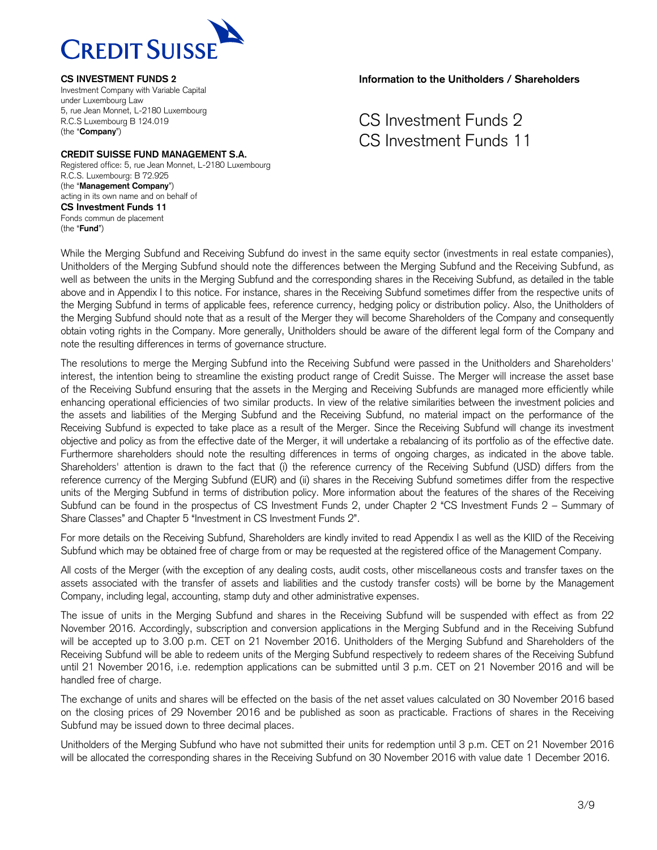

#### **CREDIT SUISSE FUND MANAGEMENT S.A.**

Registered office: 5, rue Jean Monnet, L-2180 Luxembourg R.C.S. Luxembourg: B 72.925 (the "**Management Company**") acting in its own name and on behalf of **CS Investment Funds 11** Fonds commun de placement (the "**Fund**")

**Information to the Unitholders / Shareholders**

# CS Investment Funds 2 CS Investment Funds 11

While the Merging Subfund and Receiving Subfund do invest in the same equity sector (investments in real estate companies), Unitholders of the Merging Subfund should note the differences between the Merging Subfund and the Receiving Subfund, as well as between the units in the Merging Subfund and the corresponding shares in the Receiving Subfund, as detailed in the table above and in Appendix I to this notice. For instance, shares in the Receiving Subfund sometimes differ from the respective units of the Merging Subfund in terms of applicable fees, reference currency, hedging policy or distribution policy. Also, the Unitholders of the Merging Subfund should note that as a result of the Merger they will become Shareholders of the Company and consequently obtain voting rights in the Company. More generally, Unitholders should be aware of the different legal form of the Company and note the resulting differences in terms of governance structure.

The resolutions to merge the Merging Subfund into the Receiving Subfund were passed in the Unitholders and Shareholders' interest, the intention being to streamline the existing product range of Credit Suisse. The Merger will increase the asset base of the Receiving Subfund ensuring that the assets in the Merging and Receiving Subfunds are managed more efficiently while enhancing operational efficiencies of two similar products. In view of the relative similarities between the investment policies and the assets and liabilities of the Merging Subfund and the Receiving Subfund, no material impact on the performance of the Receiving Subfund is expected to take place as a result of the Merger. Since the Receiving Subfund will change its investment objective and policy as from the effective date of the Merger, it will undertake a rebalancing of its portfolio as of the effective date. Furthermore shareholders should note the resulting differences in terms of ongoing charges, as indicated in the above table. Shareholders' attention is drawn to the fact that (i) the reference currency of the Receiving Subfund (USD) differs from the reference currency of the Merging Subfund (EUR) and (ii) shares in the Receiving Subfund sometimes differ from the respective units of the Merging Subfund in terms of distribution policy. More information about the features of the shares of the Receiving Subfund can be found in the prospectus of CS Investment Funds 2, under Chapter 2 "CS Investment Funds 2 – Summary of Share Classes" and Chapter 5 "Investment in CS Investment Funds 2".

For more details on the Receiving Subfund, Shareholders are kindly invited to read Appendix I as well as the KIID of the Receiving Subfund which may be obtained free of charge from or may be requested at the registered office of the Management Company.

All costs of the Merger (with the exception of any dealing costs, audit costs, other miscellaneous costs and transfer taxes on the assets associated with the transfer of assets and liabilities and the custody transfer costs) will be borne by the Management Company, including legal, accounting, stamp duty and other administrative expenses.

The issue of units in the Merging Subfund and shares in the Receiving Subfund will be suspended with effect as from 22 November 2016. Accordingly, subscription and conversion applications in the Merging Subfund and in the Receiving Subfund will be accepted up to 3.00 p.m. CET on 21 November 2016. Unitholders of the Merging Subfund and Shareholders of the Receiving Subfund will be able to redeem units of the Merging Subfund respectively to redeem shares of the Receiving Subfund until 21 November 2016, i.e. redemption applications can be submitted until 3 p.m. CET on 21 November 2016 and will be handled free of charge.

The exchange of units and shares will be effected on the basis of the net asset values calculated on 30 November 2016 based on the closing prices of 29 November 2016 and be published as soon as practicable. Fractions of shares in the Receiving Subfund may be issued down to three decimal places.

Unitholders of the Merging Subfund who have not submitted their units for redemption until 3 p.m. CET on 21 November 2016 will be allocated the corresponding shares in the Receiving Subfund on 30 November 2016 with value date 1 December 2016.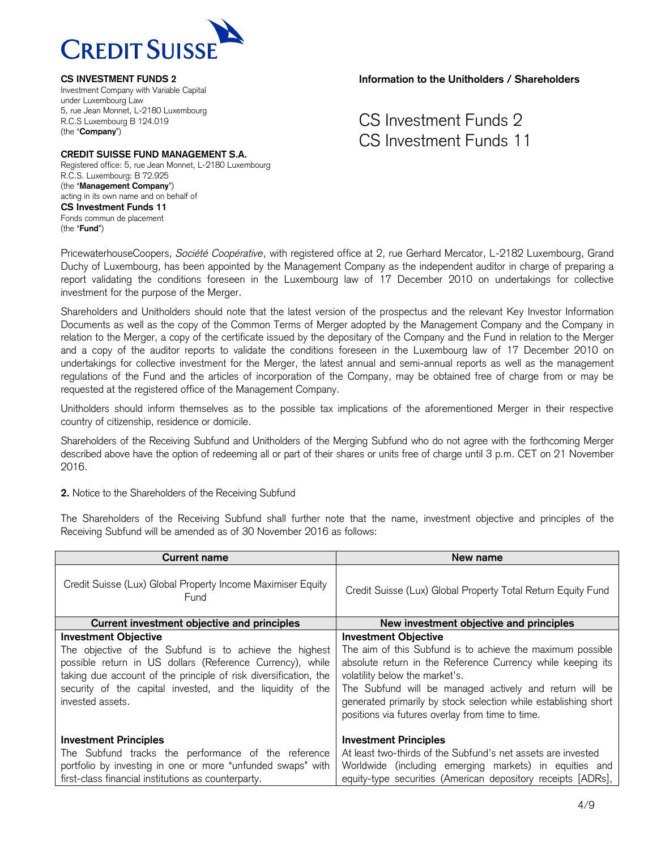

# **CREDIT SUISSE FUND MANAGEMENT S.A.**

Registered office: 5, rue Jean Monnet, L-2180 Luxembourg R.C.S. Luxembourg: B 72.925 (the "**Management Company**") acting in its own name and on behalf of **CS Investment Funds 11** Fonds commun de placement (the "**Fund**")

**Information to the Unitholders / Shareholders**

CS Investment Funds 2 CS Investment Funds 11

PricewaterhouseCoopers, *Société Coopérative*, with registered office at 2, rue Gerhard Mercator, L-2182 Luxembourg, Grand Duchy of Luxembourg, has been appointed by the Management Company as the independent auditor in charge of preparing a report validating the conditions foreseen in the Luxembourg law of 17 December 2010 on undertakings for collective investment for the purpose of the Merger.

Shareholders and Unitholders should note that the latest version of the prospectus and the relevant Key Investor Information Documents as well as the copy of the Common Terms of Merger adopted by the Management Company and the Company in relation to the Merger, a copy of the certificate issued by the depositary of the Company and the Fund in relation to the Merger and a copy of the auditor reports to validate the conditions foreseen in the Luxembourg law of 17 December 2010 on undertakings for collective investment for the Merger, the latest annual and semi-annual reports as well as the management regulations of the Fund and the articles of incorporation of the Company, may be obtained free of charge from or may be requested at the registered office of the Management Company.

Unitholders should inform themselves as to the possible tax implications of the aforementioned Merger in their respective country of citizenship, residence or domicile.

Shareholders of the Receiving Subfund and Unitholders of the Merging Subfund who do not agree with the forthcoming Merger described above have the option of redeeming all or part of their shares or units free of charge until 3 p.m. CET on 21 November 2016.

**2.** Notice to the Shareholders of the Receiving Subfund

The Shareholders of the Receiving Subfund shall further note that the name, investment objective and principles of the Receiving Subfund will be amended as of 30 November 2016 as follows:

| <b>Current name</b>                                                                                                                                                                                                                                                                                      | New name                                                                                                                                                                                                                                                                                                                                                                     |
|----------------------------------------------------------------------------------------------------------------------------------------------------------------------------------------------------------------------------------------------------------------------------------------------------------|------------------------------------------------------------------------------------------------------------------------------------------------------------------------------------------------------------------------------------------------------------------------------------------------------------------------------------------------------------------------------|
| Credit Suisse (Lux) Global Property Income Maximiser Equity<br>Fund                                                                                                                                                                                                                                      | Credit Suisse (Lux) Global Property Total Return Equity Fund                                                                                                                                                                                                                                                                                                                 |
| Current investment objective and principles                                                                                                                                                                                                                                                              | New investment objective and principles                                                                                                                                                                                                                                                                                                                                      |
| <b>Investment Objective</b><br>The objective of the Subfund is to achieve the highest<br>possible return in US dollars (Reference Currency), while<br>taking due account of the principle of risk diversification, the<br>security of the capital invested, and the liquidity of the<br>invested assets. | <b>Investment Objective</b><br>The aim of this Subfund is to achieve the maximum possible<br>absolute return in the Reference Currency while keeping its<br>volatility below the market's.<br>The Subfund will be managed actively and return will be<br>generated primarily by stock selection while establishing short<br>positions via futures overlay from time to time. |
| <b>Investment Principles</b><br>The Subfund tracks the performance of the reference<br>portfolio by investing in one or more "unfunded swaps" with<br>first-class financial institutions as counterparty.                                                                                                | <b>Investment Principles</b><br>At least two-thirds of the Subfund's net assets are invested<br>Worldwide (including emerging markets) in equities and<br>equity-type securities (American depository receipts [ADRs],                                                                                                                                                       |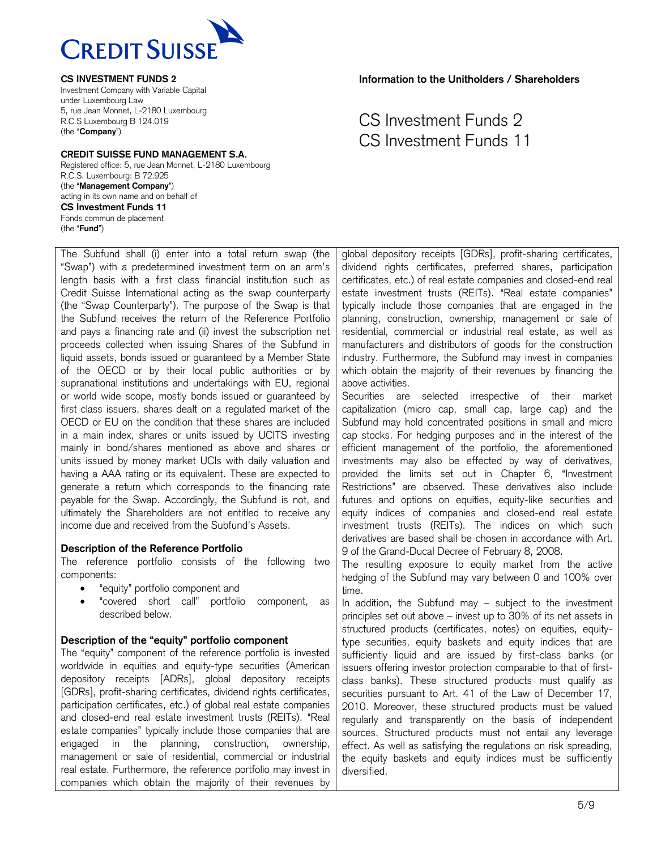

#### **CREDIT SUISSE FUND MANAGEMENT S.A.**

Registered office: 5, rue Jean Monnet, L-2180 Luxembourg R.C.S. Luxembourg: B 72.925 (the "**Management Company**") acting in its own name and on behalf of **CS Investment Funds 11** Fonds commun de placement (the "**Fund**")

The Subfund shall (i) enter into a total return swap (the "Swap") with a predetermined investment term on an arm's length basis with a first class financial institution such as Credit Suisse International acting as the swap counterparty (the "Swap Counterparty"). The purpose of the Swap is that the Subfund receives the return of the Reference Portfolio and pays a financing rate and (ii) invest the subscription net proceeds collected when issuing Shares of the Subfund in liquid assets, bonds issued or guaranteed by a Member State of the OECD or by their local public authorities or by supranational institutions and undertakings with EU, regional or world wide scope, mostly bonds issued or guaranteed by first class issuers, shares dealt on a regulated market of the OECD or EU on the condition that these shares are included in a main index, shares or units issued by UCITS investing mainly in bond/shares mentioned as above and shares or units issued by money market UCIs with daily valuation and having a AAA rating or its equivalent. These are expected to generate a return which corresponds to the financing rate payable for the Swap. Accordingly, the Subfund is not, and ultimately the Shareholders are not entitled to receive any income due and received from the Subfund's Assets.

## **Description of the Reference Portfolio**

The reference portfolio consists of the following two components:

- "equity" portfolio component and
- "covered short call" portfolio component, as described below.

# **Description of the "equity" portfolio component**

The "equity" component of the reference portfolio is invested worldwide in equities and equity-type securities (American depository receipts [ADRs], global depository receipts [GDRs], profit-sharing certificates, dividend rights certificates, participation certificates, etc.) of global real estate companies and closed-end real estate investment trusts (REITs). "Real estate companies" typically include those companies that are engaged in the planning, construction, ownership, management or sale of residential, commercial or industrial real estate. Furthermore, the reference portfolio may invest in companies which obtain the majority of their revenues by

**Information to the Unitholders / Shareholders**

# CS Investment Funds 2 CS Investment Funds 11

global depository receipts [GDRs], profit-sharing certificates, dividend rights certificates, preferred shares, participation certificates, etc.) of real estate companies and closed-end real estate investment trusts (REITs). "Real estate companies" typically include those companies that are engaged in the planning, construction, ownership, management or sale of residential, commercial or industrial real estate, as well as manufacturers and distributors of goods for the construction industry. Furthermore, the Subfund may invest in companies which obtain the majority of their revenues by financing the above activities.

Securities are selected irrespective of their market capitalization (micro cap, small cap, large cap) and the Subfund may hold concentrated positions in small and micro cap stocks. For hedging purposes and in the interest of the efficient management of the portfolio, the aforementioned investments may also be effected by way of derivatives, provided the limits set out in Chapter 6, "Investment Restrictions" are observed. These derivatives also include futures and options on equities, equity-like securities and equity indices of companies and closed-end real estate investment trusts (REITs). The indices on which such derivatives are based shall be chosen in accordance with Art. 9 of the Grand-Ducal Decree of February 8, 2008.

The resulting exposure to equity market from the active hedging of the Subfund may vary between 0 and 100% over time.

In addition, the Subfund may – subject to the investment principles set out above – invest up to 30% of its net assets in structured products (certificates, notes) on equities, equitytype securities, equity baskets and equity indices that are sufficiently liquid and are issued by first-class banks (or issuers offering investor protection comparable to that of firstclass banks). These structured products must qualify as securities pursuant to Art. 41 of the Law of December 17, 2010. Moreover, these structured products must be valued regularly and transparently on the basis of independent sources. Structured products must not entail any leverage effect. As well as satisfying the regulations on risk spreading, the equity baskets and equity indices must be sufficiently diversified.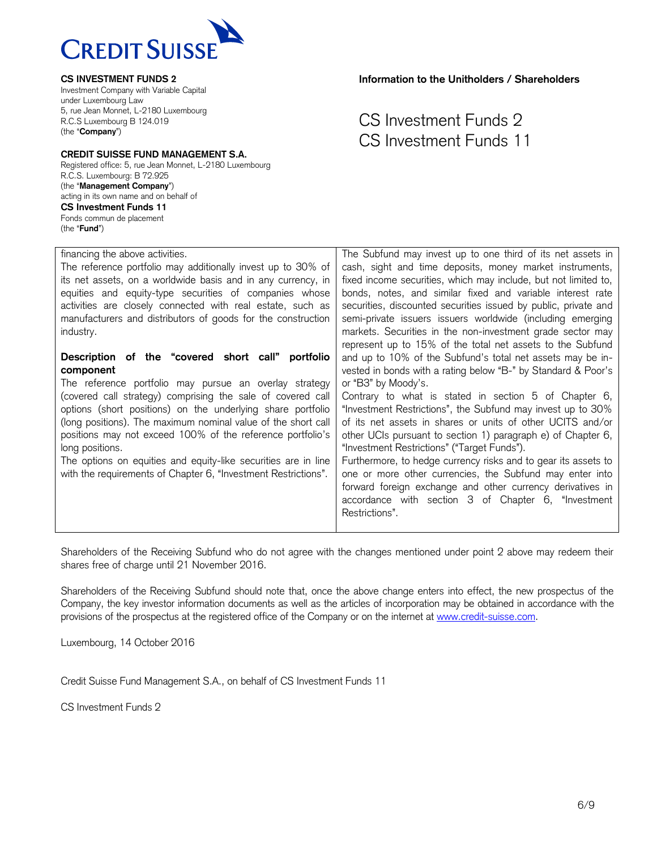

Investment Company with Variable Capital under Luxembourg Law 5, rue Jean Monnet, L-2180 Luxembourg R.C.S Luxembourg B 124.019 (the "**Company**")

#### **CREDIT SUISSE FUND MANAGEMENT S.A.**

Registered office: 5, rue Jean Monnet, L-2180 Luxembourg R.C.S. Luxembourg: B 72.925 (the "**Management Company**") acting in its own name and on behalf of **CS Investment Funds 11** Fonds commun de placement (the "**Fund**")

**Information to the Unitholders / Shareholders**

# CS Investment Funds 2 CS Investment Funds 11

| financing the above activities.                                | The Subfund may invest up to one third of its net assets in     |
|----------------------------------------------------------------|-----------------------------------------------------------------|
| The reference portfolio may additionally invest up to 30% of   | cash, sight and time deposits, money market instruments,        |
| its net assets, on a worldwide basis and in any currency, in   | fixed income securities, which may include, but not limited to, |
|                                                                |                                                                 |
| equities and equity-type securities of companies whose         | bonds, notes, and similar fixed and variable interest rate      |
| activities are closely connected with real estate, such as     | securities, discounted securities issued by public, private and |
| manufacturers and distributors of goods for the construction   | semi-private issuers issuers worldwide (including emerging      |
| industry.                                                      | markets. Securities in the non-investment grade sector may      |
|                                                                | represent up to 15% of the total net assets to the Subfund      |
| Description of the "covered short call" portfolio              | and up to 10% of the Subfund's total net assets may be in-      |
|                                                                |                                                                 |
| component                                                      | vested in bonds with a rating below "B-" by Standard & Poor's   |
| The reference portfolio may pursue an overlay strategy         | or "B3" by Moody's.                                             |
| (covered call strategy) comprising the sale of covered call    | Contrary to what is stated in section 5 of Chapter 6,           |
| options (short positions) on the underlying share portfolio    | "Investment Restrictions", the Subfund may invest up to 30%     |
| (long positions). The maximum nominal value of the short call  | of its net assets in shares or units of other UCITS and/or      |
|                                                                |                                                                 |
| positions may not exceed 100% of the reference portfolio's     | other UCIs pursuant to section 1) paragraph e) of Chapter 6,    |
| long positions.                                                | "Investment Restrictions" ("Target Funds").                     |
| The options on equities and equity-like securities are in line | Furthermore, to hedge currency risks and to gear its assets to  |
| with the requirements of Chapter 6, "Investment Restrictions". | one or more other currencies, the Subfund may enter into        |
|                                                                |                                                                 |
|                                                                | forward foreign exchange and other currency derivatives in      |
|                                                                | accordance with section 3 of Chapter 6, "Investment             |
|                                                                | Restrictions".                                                  |
|                                                                |                                                                 |
|                                                                |                                                                 |

Shareholders of the Receiving Subfund who do not agree with the changes mentioned under point 2 above may redeem their shares free of charge until 21 November 2016.

Shareholders of the Receiving Subfund should note that, once the above change enters into effect, the new prospectus of the Company, the key investor information documents as well as the articles of incorporation may be obtained in accordance with the provisions of the prospectus at the registered office of the Company or on the internet at [www.credit-suisse.com.](http://www.credit-suisse.com/)

Luxembourg, 14 October 2016

Credit Suisse Fund Management S.A., on behalf of CS Investment Funds 11

CS Investment Funds 2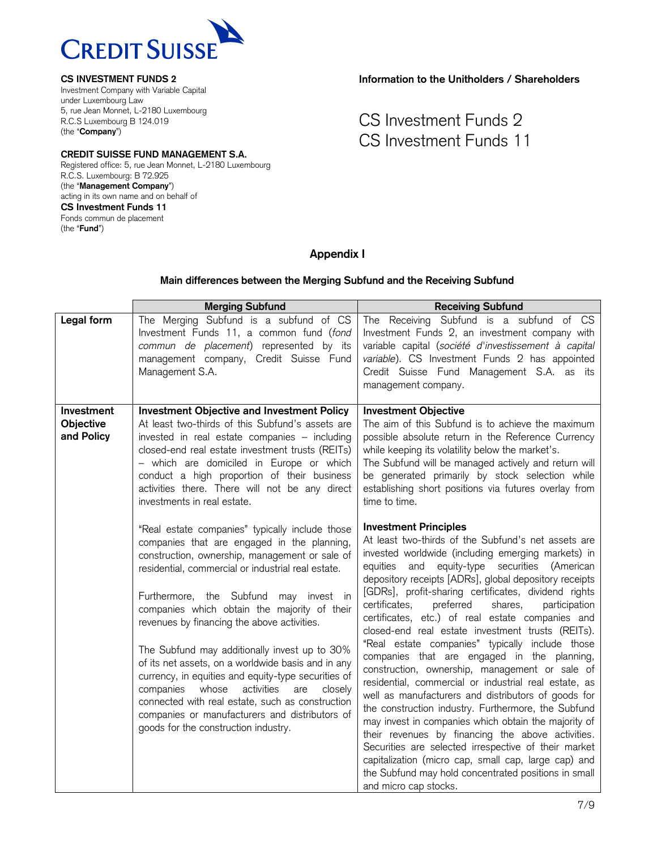

Investment Company with Variable Capital under Luxembourg Law 5, rue Jean Monnet, L-2180 Luxembourg R.C.S Luxembourg B 124.019 (the "**Company**")

# **CREDIT SUISSE FUND MANAGEMENT S.A.**

Registered office: 5, rue Jean Monnet, L-2180 Luxembourg R.C.S. Luxembourg: B 72.925 (the "**Management Company**") acting in its own name and on behalf of **CS Investment Funds 11** Fonds commun de placement (the "**Fund**")

**Information to the Unitholders / Shareholders**

CS Investment Funds 2 CS Investment Funds 11

# **Appendix I**

### **Main differences between the Merging Subfund and the Receiving Subfund**

|                                              | <b>Merging Subfund</b>                                                                                                                                                                                                                                                                                                                                                                                                                                                                                                                                                                                                                                                                                            | <b>Receiving Subfund</b>                                                                                                                                                                                                                                                                                                                                                                                                                                                                                                                                                                                                                                                                                                                                                                                                                                                                                                                                                                                                                                                                                                       |
|----------------------------------------------|-------------------------------------------------------------------------------------------------------------------------------------------------------------------------------------------------------------------------------------------------------------------------------------------------------------------------------------------------------------------------------------------------------------------------------------------------------------------------------------------------------------------------------------------------------------------------------------------------------------------------------------------------------------------------------------------------------------------|--------------------------------------------------------------------------------------------------------------------------------------------------------------------------------------------------------------------------------------------------------------------------------------------------------------------------------------------------------------------------------------------------------------------------------------------------------------------------------------------------------------------------------------------------------------------------------------------------------------------------------------------------------------------------------------------------------------------------------------------------------------------------------------------------------------------------------------------------------------------------------------------------------------------------------------------------------------------------------------------------------------------------------------------------------------------------------------------------------------------------------|
| Legal form                                   | The Merging Subfund is a subfund of CS<br>Investment Funds 11, a common fund (fond<br>commun de placement) represented by its<br>management company, Credit Suisse Fund<br>Management S.A.                                                                                                                                                                                                                                                                                                                                                                                                                                                                                                                        | The Receiving Subfund is a subfund of CS<br>Investment Funds 2, an investment company with<br>variable capital (société d'investissement à capital<br>variable). CS Investment Funds 2 has appointed<br>Credit Suisse Fund Management S.A. as its<br>management company.                                                                                                                                                                                                                                                                                                                                                                                                                                                                                                                                                                                                                                                                                                                                                                                                                                                       |
| Investment<br><b>Objective</b><br>and Policy | <b>Investment Objective and Investment Policy</b><br>At least two-thirds of this Subfund's assets are<br>invested in real estate companies - including<br>closed-end real estate investment trusts (REITs)<br>- which are domiciled in Europe or which<br>conduct a high proportion of their business<br>activities there. There will not be any direct<br>investments in real estate.                                                                                                                                                                                                                                                                                                                            | <b>Investment Objective</b><br>The aim of this Subfund is to achieve the maximum<br>possible absolute return in the Reference Currency<br>while keeping its volatility below the market's.<br>The Subfund will be managed actively and return will<br>be generated primarily by stock selection while<br>establishing short positions via futures overlay from<br>time to time.                                                                                                                                                                                                                                                                                                                                                                                                                                                                                                                                                                                                                                                                                                                                                |
|                                              | "Real estate companies" typically include those<br>companies that are engaged in the planning,<br>construction, ownership, management or sale of<br>residential, commercial or industrial real estate.<br>Furthermore, the Subfund may invest in<br>companies which obtain the majority of their<br>revenues by financing the above activities.<br>The Subfund may additionally invest up to 30%<br>of its net assets, on a worldwide basis and in any<br>currency, in equities and equity-type securities of<br>whose<br>activities<br>companies<br>are<br>closely<br>connected with real estate, such as construction<br>companies or manufacturers and distributors of<br>goods for the construction industry. | <b>Investment Principles</b><br>At least two-thirds of the Subfund's net assets are<br>invested worldwide (including emerging markets) in<br>equity-type securities (American<br>and<br>equities<br>depository receipts [ADRs], global depository receipts<br>[GDRs], profit-sharing certificates, dividend rights<br>preferred<br>certificates,<br>shares,<br>participation<br>certificates, etc.) of real estate companies and<br>closed-end real estate investment trusts (REITs).<br>"Real estate companies" typically include those<br>companies that are engaged in the planning,<br>construction, ownership, management or sale of<br>residential, commercial or industrial real estate, as<br>well as manufacturers and distributors of goods for<br>the construction industry. Furthermore, the Subfund<br>may invest in companies which obtain the majority of<br>their revenues by financing the above activities.<br>Securities are selected irrespective of their market<br>capitalization (micro cap, small cap, large cap) and<br>the Subfund may hold concentrated positions in small<br>and micro cap stocks. |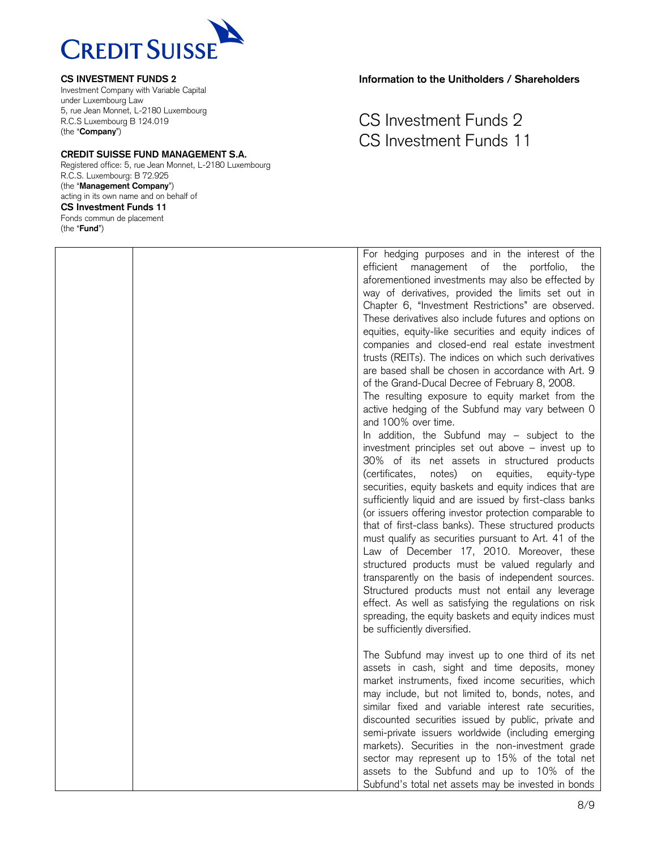

Investment Company with Variable Capital under Luxembourg Law 5, rue Jean Monnet, L-2180 Luxembourg R.C.S Luxembourg B 124.019 (the "**Company**")

#### **CREDIT SUISSE FUND MANAGEMENT S.A.**

Registered office: 5, rue Jean Monnet, L-2180 Luxembourg R.C.S. Luxembourg: B 72.925 (the "**Management Company**") acting in its own name and on behalf of **CS Investment Funds 11** Fonds commun de placement (the "**Fund**")

**Information to the Unitholders / Shareholders**

# CS Investment Funds 2 CS Investment Funds 11

For hedging purposes and in the interest of the efficient management of the portfolio, the aforementioned investments may also be effected by way of derivatives, provided the limits set out in Chapter 6, "Investment Restrictions" are observed. These derivatives also include futures and options on equities, equity-like securities and equity indices of companies and closed-end real estate investment trusts (REITs). The indices on which such derivatives are based shall be chosen in accordance with Art. 9 of the Grand-Ducal Decree of February 8, 2008. The resulting exposure to equity market from the active hedging of the Subfund may vary between 0 and 100% over time. In addition, the Subfund may – subject to the investment principles set out above – invest up to 30% of its net assets in structured products (certificates, notes) on equities, equity-type securities, equity baskets and equity indices that are sufficiently liquid and are issued by first-class banks (or issuers offering investor protection comparable to that of first-class banks). These structured products must qualify as securities pursuant to Art. 41 of the Law of December 17, 2010. Moreover, these structured products must be valued regularly and transparently on the basis of independent sources. Structured products must not entail any leverage effect. As well as satisfying the regulations on risk spreading, the equity baskets and equity indices must be sufficiently diversified. The Subfund may invest up to one third of its net assets in cash, sight and time deposits, money market instruments, fixed income securities, which may include, but not limited to, bonds, notes, and similar fixed and variable interest rate securities, discounted securities issued by public, private and

semi-private issuers worldwide (including emerging markets). Securities in the non-investment grade sector may represent up to 15% of the total net assets to the Subfund and up to 10% of the Subfund's total net assets may be invested in bonds